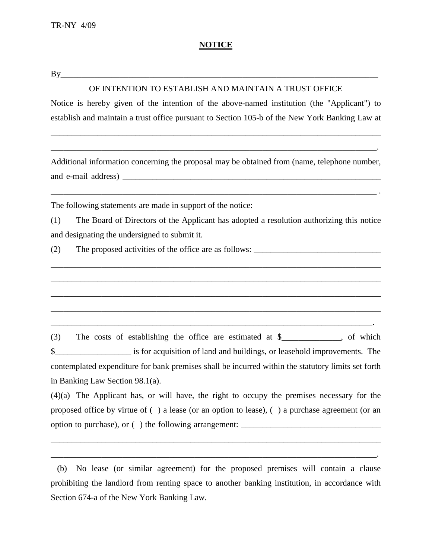## **NOTICE**

By\_\_\_\_\_\_\_\_\_\_\_\_\_\_\_\_\_\_\_\_\_\_\_\_\_\_\_\_\_\_\_\_\_\_\_\_\_\_\_\_\_\_\_\_\_\_\_\_\_\_\_\_\_\_\_\_\_\_\_\_\_\_\_\_\_\_\_\_\_\_\_\_\_\_\_

## OF INTENTION TO ESTABLISH AND MAINTAIN A TRUST OFFICE

Notice is hereby given of the intention of the above-named institution (the "Applicant") to establish and maintain a trust office pursuant to Section 105-b of the New York Banking Law at

\_\_\_\_\_\_\_\_\_\_\_\_\_\_\_\_\_\_\_\_\_\_\_\_\_\_\_\_\_\_\_\_\_\_\_\_\_\_\_\_\_\_\_\_\_\_\_\_\_\_\_\_\_\_\_\_\_\_\_\_\_\_\_\_\_\_\_\_\_\_\_\_\_\_\_\_\_\_

\_\_\_\_\_\_\_\_\_\_\_\_\_\_\_\_\_\_\_\_\_\_\_\_\_\_\_\_\_\_\_\_\_\_\_\_\_\_\_\_\_\_\_\_\_\_\_\_\_\_\_\_\_\_\_\_\_\_\_\_\_\_\_\_\_\_\_\_\_\_\_\_\_\_\_\_\_.

Additional information concerning the proposal may be obtained from (name, telephone number, and e-mail address)

\_\_\_\_\_\_\_\_\_\_\_\_\_\_\_\_\_\_\_\_\_\_\_\_\_\_\_\_\_\_\_\_\_\_\_\_\_\_\_\_\_\_\_\_\_\_\_\_\_\_\_\_\_\_\_\_\_\_\_\_\_\_\_\_\_\_\_\_\_\_\_\_\_\_\_\_\_ .

The following statements are made in support of the notice:

(1) The Board of Directors of the Applicant has adopted a resolution authorizing this notice and designating the undersigned to submit it.

\_\_\_\_\_\_\_\_\_\_\_\_\_\_\_\_\_\_\_\_\_\_\_\_\_\_\_\_\_\_\_\_\_\_\_\_\_\_\_\_\_\_\_\_\_\_\_\_\_\_\_\_\_\_\_\_\_\_\_\_\_\_\_\_\_\_\_\_\_\_\_\_\_\_\_\_\_\_

\_\_\_\_\_\_\_\_\_\_\_\_\_\_\_\_\_\_\_\_\_\_\_\_\_\_\_\_\_\_\_\_\_\_\_\_\_\_\_\_\_\_\_\_\_\_\_\_\_\_\_\_\_\_\_\_\_\_\_\_\_\_\_\_\_\_\_\_\_\_\_\_\_\_\_\_\_\_

\_\_\_\_\_\_\_\_\_\_\_\_\_\_\_\_\_\_\_\_\_\_\_\_\_\_\_\_\_\_\_\_\_\_\_\_\_\_\_\_\_\_\_\_\_\_\_\_\_\_\_\_\_\_\_\_\_\_\_\_\_\_\_\_\_\_\_\_\_\_\_\_\_\_\_\_\_\_

\_\_\_\_\_\_\_\_\_\_\_\_\_\_\_\_\_\_\_\_\_\_\_\_\_\_\_\_\_\_\_\_\_\_\_\_\_\_\_\_\_\_\_\_\_\_\_\_\_\_\_\_\_\_\_\_\_\_\_\_\_\_\_\_\_\_\_\_\_\_\_\_\_\_\_\_\_\_

\_\_\_\_\_\_\_\_\_\_\_\_\_\_\_\_\_\_\_\_\_\_\_\_\_\_\_\_\_\_\_\_\_\_\_\_\_\_\_\_\_\_\_\_\_\_\_\_\_\_\_\_\_\_\_\_\_\_\_\_\_\_\_\_\_\_\_\_\_\_\_\_\_\_\_\_.

(2) The proposed activities of the office are as follows:

(3) The costs of establishing the office are estimated at \$\_\_\_\_\_\_\_\_\_\_\_\_\_\_, of which \$\_\_\_\_\_\_\_\_\_\_\_\_\_\_\_\_\_\_ is for acquisition of land and buildings, or leasehold improvements. The contemplated expenditure for bank premises shall be incurred within the statutory limits set forth in Banking Law Section 98.1(a).

(4)(a) The Applicant has, or will have, the right to occupy the premises necessary for the proposed office by virtue of ( ) a lease (or an option to lease), ( ) a purchase agreement (or an option to purchase), or () the following arrangement:

\_\_\_\_\_\_\_\_\_\_\_\_\_\_\_\_\_\_\_\_\_\_\_\_\_\_\_\_\_\_\_\_\_\_\_\_\_\_\_\_\_\_\_\_\_\_\_\_\_\_\_\_\_\_\_\_\_\_\_\_\_\_\_\_\_\_\_\_\_\_\_\_\_\_\_\_\_\_

\_\_\_\_\_\_\_\_\_\_\_\_\_\_\_\_\_\_\_\_\_\_\_\_\_\_\_\_\_\_\_\_\_\_\_\_\_\_\_\_\_\_\_\_\_\_\_\_\_\_\_\_\_\_\_\_\_\_\_\_\_\_\_\_\_\_\_\_\_\_\_\_\_\_\_\_\_.

 (b) No lease (or similar agreement) for the proposed premises will contain a clause prohibiting the landlord from renting space to another banking institution, in accordance with Section 674-a of the New York Banking Law.